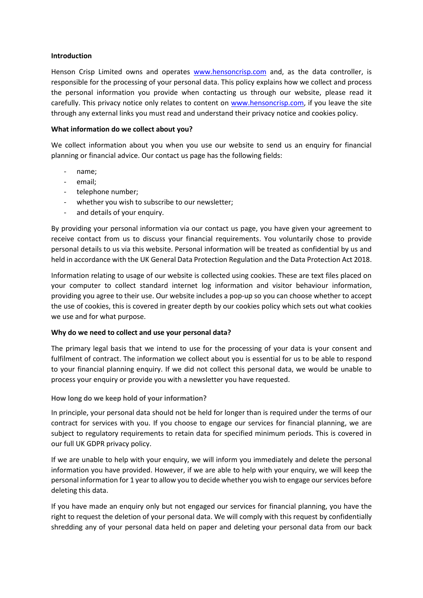### **Introduction**

Henson Crisp Limited owns and operates [www.hensoncrisp.com](http://www.hensoncrisp.com/) and, as the data controller, is responsible for the processing of your personal data. This policy explains how we collect and process the personal information you provide when contacting us through our website, please read it carefully. This privacy notice only relates to content on [www.hensoncrisp.com,](http://www.hensoncrisp.com/) if you leave the site through any external links you must read and understand their privacy notice and cookies policy.

### **What information do we collect about you?**

We collect information about you when you use our website to send us an enquiry for financial planning or financial advice. Our contact us page has the following fields:

- name:
- email;
- telephone number;
- whether you wish to subscribe to our newsletter;
- and details of your enquiry.

By providing your personal information via our contact us page, you have given your agreement to receive contact from us to discuss your financial requirements. You voluntarily chose to provide personal details to us via this website. Personal information will be treated as confidential by us and held in accordance with the UK General Data Protection Regulation and the Data Protection Act 2018.

Information relating to usage of our website is collected using cookies. These are text files placed on your computer to collect standard internet log information and visitor behaviour information, providing you agree to their use. Our website includes a pop-up so you can choose whether to accept the use of cookies, this is covered in greater depth by our cookies policy which sets out what cookies we use and for what purpose.

# **Why do we need to collect and use your personal data?**

The primary legal basis that we intend to use for the processing of your data is your consent and fulfilment of contract. The information we collect about you is essential for us to be able to respond to your financial planning enquiry. If we did not collect this personal data, we would be unable to process your enquiry or provide you with a newsletter you have requested.

# **How long do we keep hold of your information?**

In principle, your personal data should not be held for longer than is required under the terms of our contract for services with you. If you choose to engage our services for financial planning, we are subject to regulatory requirements to retain data for specified minimum periods. This is covered in our full UK GDPR privacy policy.

If we are unable to help with your enquiry, we will inform you immediately and delete the personal information you have provided. However, if we are able to help with your enquiry, we will keep the personal information for 1 year to allow you to decide whether you wish to engage our services before deleting this data.

If you have made an enquiry only but not engaged our services for financial planning, you have the right to request the deletion of your personal data. We will comply with this request by confidentially shredding any of your personal data held on paper and deleting your personal data from our back